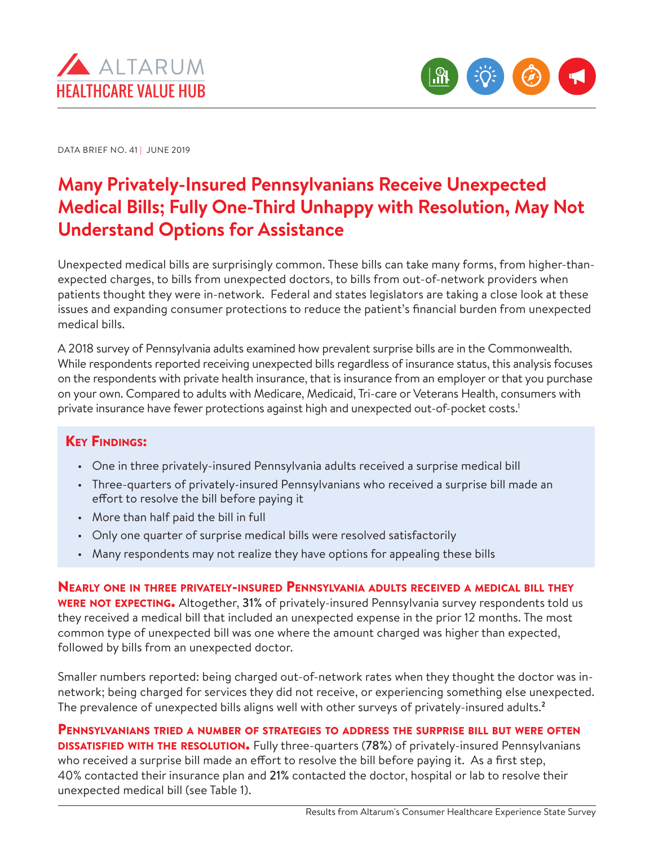



DATA BRIEF NO. 41 | JUNE 2019

# **Many Privately-Insured Pennsylvanians Receive Unexpected Medical Bills; Fully One-Third Unhappy with Resolution, May Not Understand Options for Assistance**

Unexpected medical bills are surprisingly common. These bills can take many forms, from higher-thanexpected charges, to bills from unexpected doctors, to bills from out-of-network providers when patients thought they were in-network. Federal and states legislators are taking a close look at these issues and expanding consumer protections to reduce the patient's financial burden from unexpected medical bills.

A 2018 survey of Pennsylvania adults examined how prevalent surprise bills are in the Commonwealth. While respondents reported receiving unexpected bills regardless of insurance status, this analysis focuses on the respondents with private health insurance, that is insurance from an employer or that you purchase on your own. Compared to adults with Medicare, Medicaid, Tri-care or Veterans Health, consumers with private insurance have fewer protections against high and unexpected out-of-pocket costs.1

## **KEY FINDINGS:**

- One in three privately-insured Pennsylvania adults received a surprise medical bill
- Three-quarters of privately-insured Pennsylvanians who received a surprise bill made an effort to resolve the bill before paying it
- More than half paid the bill in full
- Only one quarter of surprise medical bills were resolved satisfactorily
- Many respondents may not realize they have options for appealing these bills

Nearly one in three privately-insured Pennsylvania adults received <sup>a</sup> medical bill they **WERE NOT EXPECTING.** Altogether, 31% of privately-insured Pennsylvania survey respondents told us they received a medical bill that included an unexpected expense in the prior 12 months. The most common type of unexpected bill was one where the amount charged was higher than expected, followed by bills from an unexpected doctor.

Smaller numbers reported: being charged out-of-network rates when they thought the doctor was innetwork; being charged for services they did not receive, or experiencing something else unexpected. The prevalence of unexpected bills aligns well with other surveys of privately-insured adults.**<sup>2</sup>**

Pennsylvanians tried a number of strategies to address the surprise bill but were often **DISSATISFIED WITH THE RESOLUTION.** Fully three-quarters (78%) of privately-insured Pennsylvanians who received a surprise bill made an effort to resolve the bill before paying it. As a first step, 40% contacted their insurance plan and 21% contacted the doctor, hospital or lab to resolve their unexpected medical bill (see Table 1).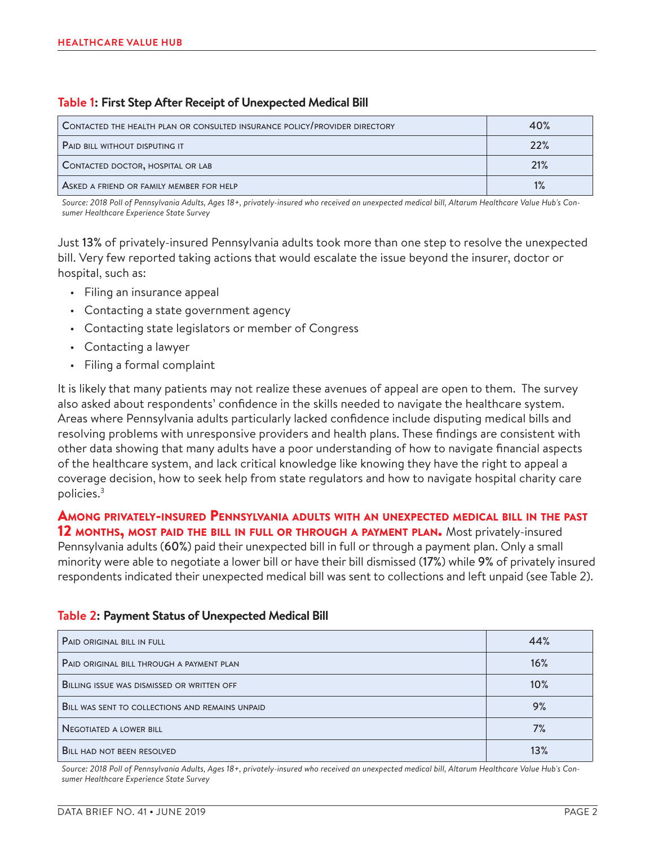#### **Table 1: First Step After Receipt of Unexpected Medical Bill**

| <b>CONTACTED THE HEALTH PLAN OR CONSULTED INSURANCE POLICY/PROVIDER DIRECTORY</b> | 40% |
|-----------------------------------------------------------------------------------|-----|
| PAID BILL WITHOUT DISPUTING IT                                                    | 22% |
| CONTACTED DOCTOR, HOSPITAL OR LAB                                                 | 21% |
| ASKED A FRIEND OR FAMILY MEMBER FOR HELP                                          | 1%  |

*Source: 2018 Poll of Pennsylvania Adults, Ages 18+, privately-insured who received an unexpected medical bill, Altarum Healthcare Value Hub's Consumer Healthcare Experience State Survey*

Just 13% of privately-insured Pennsylvania adults took more than one step to resolve the unexpected bill. Very few reported taking actions that would escalate the issue beyond the insurer, doctor or hospital, such as:

- Filing an insurance appeal
- Contacting a state government agency
- Contacting state legislators or member of Congress
- Contacting a lawyer
- Filing a formal complaint

It is likely that many patients may not realize these avenues of appeal are open to them. The survey also asked about respondents' confidence in the skills needed to navigate the healthcare system. Areas where Pennsylvania adults particularly lacked confidence include disputing medical bills and resolving problems with unresponsive providers and health plans. These findings are consistent with other data showing that many adults have a poor understanding of how to navigate financial aspects of the healthcare system, and lack critical knowledge like knowing they have the right to appeal a coverage decision, how to seek help from state regulators and how to navigate hospital charity care policies.3

## Among privately-insured Pennsylvania adults with an unexpected medical bill in the past

12 MONTHS, MOST PAID THE BILL IN FULL OR THROUGH A PAYMENT PLAN. Most privately-insured Pennsylvania adults (60%) paid their unexpected bill in full or through a payment plan. Only a small minority were able to negotiate a lower bill or have their bill dismissed (17%) while 9% of privately insured respondents indicated their unexpected medical bill was sent to collections and left unpaid (see Table 2).

| <b>PAID ORIGINAL BILL IN FULL</b>                 | 44% |
|---------------------------------------------------|-----|
| PAID ORIGINAL BILL THROUGH A PAYMENT PLAN         | 16% |
| <b>BILLING ISSUE WAS DISMISSED OR WRITTEN OFF</b> | 10% |
| BILL WAS SENT TO COLLECTIONS AND REMAINS UNPAID   | 9%  |
| <b>NEGOTIATED A LOWER BILL</b>                    | 7%  |
| <b>BILL HAD NOT BEEN RESOLVED</b>                 | 13% |

#### **Table 2: Payment Status of Unexpected Medical Bill**

*Source: 2018 Poll of Pennsylvania Adults, Ages 18+, privately-insured who received an unexpected medical bill, Altarum Healthcare Value Hub's Consumer Healthcare Experience State Survey*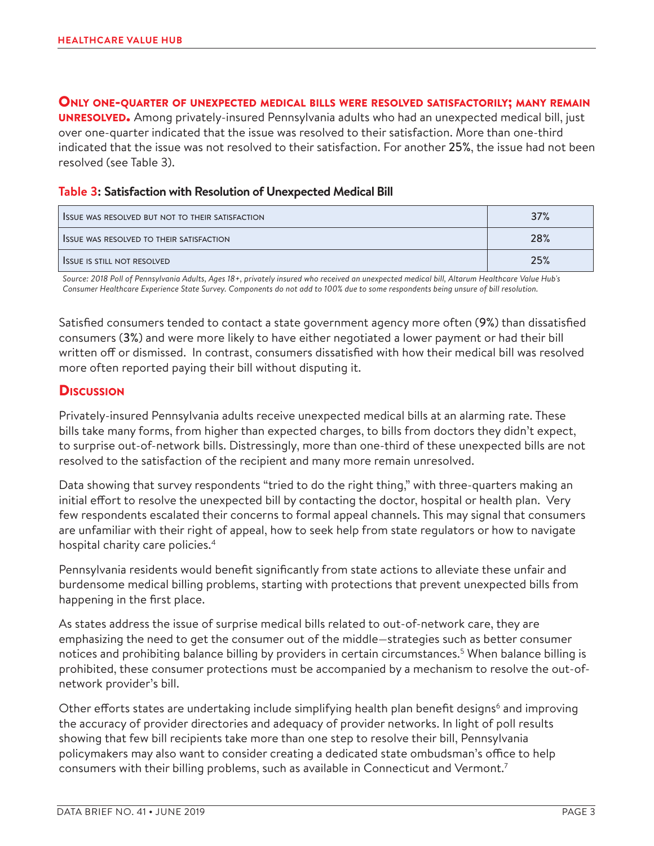#### Only one-quarter of unexpected medical bills were resolved satisfactorily; many remain

**UNRESOLVED.** Among privately-insured Pennsylvania adults who had an unexpected medical bill, just over one-quarter indicated that the issue was resolved to their satisfaction. More than one-third indicated that the issue was not resolved to their satisfaction. For another 25%, the issue had not been resolved (see Table 3).

#### **Table 3: Satisfaction with Resolution of Unexpected Medical Bill**

| <b>ISSUE WAS RESOLVED BUT NOT TO THEIR SATISFACTION</b> | 37% |
|---------------------------------------------------------|-----|
| <b>ISSUE WAS RESOLVED TO THEIR SATISFACTION</b>         | 28% |
| <b>ISSUE IS STILL NOT RESOLVED</b>                      | 25% |

*Source: 2018 Poll of Pennsylvania Adults, Ages 18+, privately insured who received an unexpected medical bill, Altarum Healthcare Value Hub's Consumer Healthcare Experience State Survey. Components do not add to 100% due to some respondents being unsure of bill resolution.*

Satisfied consumers tended to contact a state government agency more often (9%) than dissatisfied consumers (3%) and were more likely to have either negotiated a lower payment or had their bill written off or dismissed. In contrast, consumers dissatisfied with how their medical bill was resolved more often reported paying their bill without disputing it.

## **Discussion**

Privately-insured Pennsylvania adults receive unexpected medical bills at an alarming rate. These bills take many forms, from higher than expected charges, to bills from doctors they didn't expect, to surprise out-of-network bills. Distressingly, more than one-third of these unexpected bills are not resolved to the satisfaction of the recipient and many more remain unresolved.

Data showing that survey respondents "tried to do the right thing," with three-quarters making an initial effort to resolve the unexpected bill by contacting the doctor, hospital or health plan. Very few respondents escalated their concerns to formal appeal channels. This may signal that consumers are unfamiliar with their right of appeal, how to seek help from state regulators or how to navigate hospital charity care policies.4

Pennsylvania residents would benefit significantly from state actions to alleviate these unfair and burdensome medical billing problems, starting with protections that prevent unexpected bills from happening in the first place.

As states address the issue of surprise medical bills related to out-of-network care, they are emphasizing the need to get the consumer out of the middle—strategies such as better consumer notices and prohibiting balance billing by providers in certain circumstances.<sup>5</sup> When balance billing is prohibited, these consumer protections must be accompanied by a mechanism to resolve the out-ofnetwork provider's bill.

Other efforts states are undertaking include simplifying health plan benefit designs<sup>6</sup> and improving the accuracy of provider directories and adequacy of provider networks. In light of poll results showing that few bill recipients take more than one step to resolve their bill, Pennsylvania policymakers may also want to consider creating a dedicated state ombudsman's office to help consumers with their billing problems, such as available in Connecticut and Vermont.7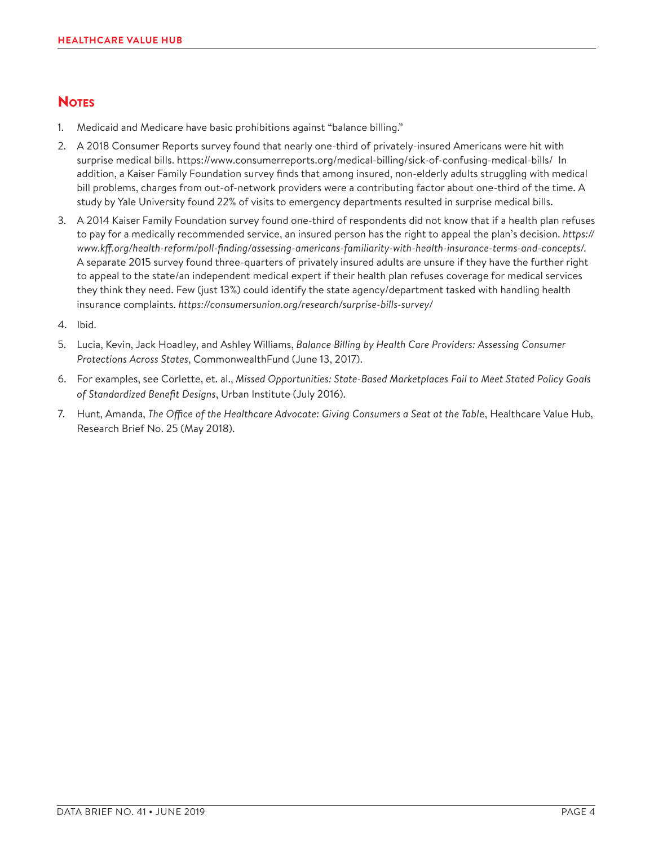## **NOTES**

- 1. Medicaid and Medicare have basic prohibitions against "balance billing."
- 2. A 2018 Consumer Reports survey found that nearly one-third of privately-insured Americans were hit with surprise medical bills. <https://www.consumerreports.org/medical-billing/sick-of-confusing-medical-bills/>In addition, a Kaiser Family Foundation survey finds that among insured, non-elderly adults struggling with medical bill problems, charges from out-of-network providers were a contributing factor about one-third of the time. A study by Yale University found 22% of visits to emergency departments resulted in surprise medical bills.
- 3. A 2014 Kaiser Family Foundation survey found one-third of respondents did not know that if a health plan refuses to pay for a medically recommended service, an insured person has the right to appeal the plan's decision. *https:// www.kff.org/health-reform/poll-finding/assessing-americans-familiarity-with-health-insurance-terms-and-concepts/.* A separate 2015 survey found three-quarters of privately insured adults are unsure if they have the further right to appeal to the state/an independent medical expert if their health plan refuses coverage for medical services they think they need. Few (just 13%) could identify the state agency/department tasked with handling health insurance complaints. *https://consumersunion.org/research/surprise-bills-survey/*
- 4. Ibid.
- 5. Lucia, Kevin, Jack Hoadley, and Ashley Williams, *Balance Billing by Health Care Providers: Assessing Consumer Protections Across States*, CommonwealthFund (June 13, 2017).
- 6. For examples, see Corlette, et. al., *Missed Opportunities: State-Based Marketplaces Fail to Meet Stated Policy Goals of Standardized Benefit Designs*, Urban Institute (July 2016).
- 7. Hunt, Amanda, *The Office of the Healthcare Advocate: Giving Consumers a Seat at the Tabl*e, Healthcare Value Hub, Research Brief No. 25 (May 2018).